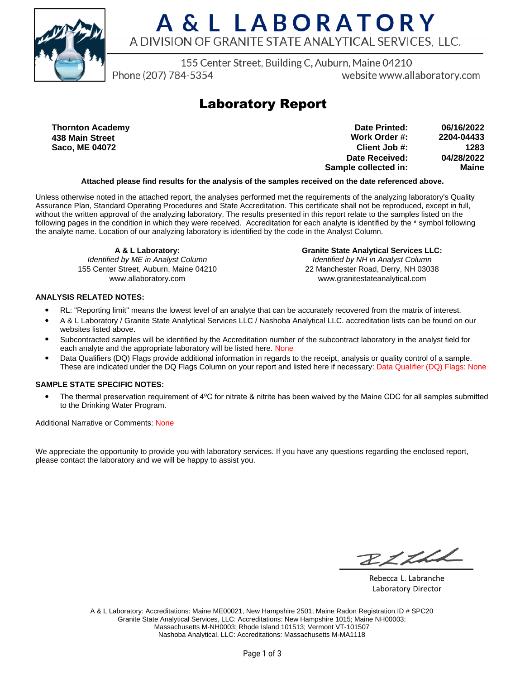

# A & L LABORATORY A DIVISION OF GRANITE STATE ANALYTICAL SERVICES, LLC.

155 Center Street, Building C, Auburn, Maine 04210

Phone (207) 784-5354

website www.allaboratory.com

### **Laboratory Report**

**Thornton Academy 438 Main Street Saco, ME 04072**

**Work Order #: Client Job #: Date Received: Sample collected in: 2204-04433 1283 04/28/2022 Maine Date Printed: 06/16/2022**

#### **Attached please find results for the analysis of the samples received on the date referenced above.**

Unless otherwise noted in the attached report, the analyses performed met the requirements of the analyzing laboratory's Quality Assurance Plan, Standard Operating Procedures and State Accreditation. This certificate shall not be reproduced, except in full, without the written approval of the analyzing laboratory. The results presented in this report relate to the samples listed on the following pages in the condition in which they were received. Accreditation for each analyte is identified by the \* symbol following the analyte name. Location of our analyzing laboratory is identified by the code in the Analyst Column.

> **A & L Laboratory:** Identified by ME in Analyst Column

155 Center Street, Auburn, Maine 04210 www.allaboratory.com

**Granite State Analytical Services LLC:** Identified by NH in Analyst Column 22 Manchester Road, Derry, NH 03038 www.granitestateanalytical.com

#### **ANALYSIS RELATED NOTES:**

- RL: "Reporting limit" means the lowest level of an analyte that can be accurately recovered from the matrix of interest.
- A & L Laboratory / Granite State Analytical Services LLC / Nashoba Analytical LLC. accreditation lists can be found on our websites listed above.
- Subcontracted samples will be identified by the Accreditation number of the subcontract laboratory in the analyst field for each analyte and the appropriate laboratory will be listed here. None
- Data Qualifiers (DQ) Flags provide additional information in regards to the receipt, analysis or quality control of a sample. These are indicated under the DQ Flags Column on your report and listed here if necessary: Data Qualifier (DQ) Flags: None

### **SAMPLE STATE SPECIFIC NOTES:**

• The thermal preservation requirement of 4°C for nitrate & nitrite has been waived by the Maine CDC for all samples submitted to the Drinking Water Program.

Additional Narrative or Comments: None

We appreciate the opportunity to provide you with laboratory services. If you have any questions regarding the enclosed report, please contact the laboratory and we will be happy to assist you.

BLLLL

Rebecca L. Labranche Laboratory Director

A & L Laboratory: Accreditations: Maine ME00021, New Hampshire 2501, Maine Radon Registration ID # SPC20 Granite State Analytical Services, LLC: Accreditations: New Hampshire 1015; Maine NH00003; Massachusetts M-NH0003; Rhode Island 101513; Vermont VT-101507 Nashoba Analytical, LLC: Accreditations: Massachusetts M-MA1118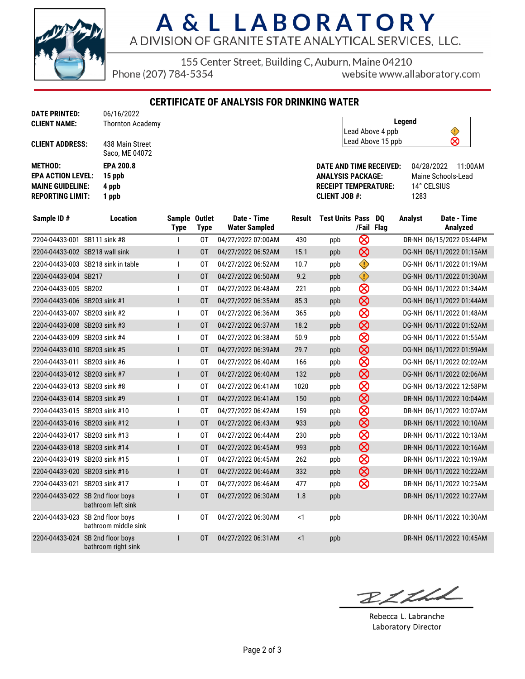

# A & L LABORATORY A DIVISION OF GRANITE STATE ANALYTICAL SERVICES, LLC.

155 Center Street, Building C, Auburn, Maine 04210

Phone (207) 784-5354

website www.allaboratory.com

**CERTIFICATE OF ANALYSIS FOR DRINKING WATER**

| <b>DATE PRINTED:</b><br><b>CLIENT NAME:</b>                                                      | 06/16/2022<br><b>Thornton Academy</b>                    |                              |             |                                     |               |                                                                                                                   |                      | Legend<br>Lead Above 4 ppb | ♦                                                       |                          |         |
|--------------------------------------------------------------------------------------------------|----------------------------------------------------------|------------------------------|-------------|-------------------------------------|---------------|-------------------------------------------------------------------------------------------------------------------|----------------------|----------------------------|---------------------------------------------------------|--------------------------|---------|
| <b>CLIENT ADDRESS:</b>                                                                           | 438 Main Street<br>Saco, ME 04072                        |                              |             |                                     |               |                                                                                                                   |                      | Lead Above 15 ppb          |                                                         | ⊗                        |         |
| <b>METHOD:</b><br><b>EPA ACTION LEVEL:</b><br><b>MAINE GUIDELINE:</b><br><b>REPORTING LIMIT:</b> | <b>EPA 200.8</b><br>15 ppb<br>4 ppb<br>1 ppb             |                              |             |                                     |               | <b>DATE AND TIME RECEIVED:</b><br><b>ANALYSIS PACKAGE:</b><br><b>RECEIPT TEMPERATURE:</b><br><b>CLIENT JOB #:</b> |                      |                            | 04/28/2022<br>Maine Schools-Lead<br>14° CELSIUS<br>1283 |                          | 11:00AM |
| Sample ID#                                                                                       | <b>Location</b>                                          | Sample Outlet<br><b>Type</b> | <b>Type</b> | Date - Time<br><b>Water Sampled</b> | <b>Result</b> | <b>Test Units Pass</b>                                                                                            |                      | <b>DQ</b><br>/Fail Flag    | <b>Analyst</b>                                          | Date - Time<br>Analyzed  |         |
| 2204-04433-001 SB111 sink #8                                                                     |                                                          |                              | 0T          | 04/27/2022 07:00AM                  | 430           | ppb                                                                                                               | $\otimes$            |                            |                                                         | DR-NH 06/15/2022 05:44PM |         |
| 2204-04433-002 SB218 wall sink                                                                   |                                                          | ı                            | 0T          | 04/27/2022 06:52AM                  | 15.1          | ppb                                                                                                               | $\otimes$            |                            |                                                         | DG-NH 06/11/2022 01:15AM |         |
|                                                                                                  | 2204-04433-003 SB218 sink in table                       |                              | 0T          | 04/27/2022 06:52AM                  | 10.7          | ppb                                                                                                               | ♦                    |                            |                                                         | DG-NH 06/11/2022 01:19AM |         |
| 2204-04433-004 SB217                                                                             |                                                          | ı                            | 0T          | 04/27/2022 06:50AM                  | 9.2           | ppb                                                                                                               | $\bigcirc$           |                            |                                                         | DG-NH 06/11/2022 01:30AM |         |
| 2204-04433-005 SB202                                                                             |                                                          | $\overline{\phantom{a}}$     | 0T          | 04/27/2022 06:48AM                  | 221           | ppb                                                                                                               | $\otimes$            |                            |                                                         | DG-NH 06/11/2022 01:34AM |         |
| 2204-04433-006 SB203 sink #1                                                                     |                                                          | I                            | 0T          | 04/27/2022 06:35AM                  | 85.3          | ppb                                                                                                               | $\otimes$            |                            |                                                         | DG-NH 06/11/2022 01:44AM |         |
| 2204-04433-007 SB203 sink #2                                                                     |                                                          |                              | 0T          | 04/27/2022 06:36AM                  | 365           | ppb                                                                                                               | $\otimes$            |                            |                                                         | DG-NH 06/11/2022 01:48AM |         |
| 2204-04433-008 SB203 sink #3                                                                     |                                                          | Ī                            | 0T          | 04/27/2022 06:37AM                  | 18.2          | ppb                                                                                                               | $\otimes$            |                            |                                                         | DG-NH 06/11/2022 01:52AM |         |
| 2204-04433-009 SB203 sink #4                                                                     |                                                          |                              | 0T          | 04/27/2022 06:38AM                  | 50.9          | ppb                                                                                                               | $\overline{\otimes}$ |                            |                                                         | DG-NH 06/11/2022 01:55AM |         |
| 2204-04433-010 SB203 sink #5                                                                     |                                                          | I                            | 0T          | 04/27/2022 06:39AM                  | 29.7          | ppb                                                                                                               | $\otimes$            |                            |                                                         | DG-NH 06/11/2022 01:59AM |         |
| 2204-04433-011 SB203 sink #6                                                                     |                                                          |                              | 0T          | 04/27/2022 06:40AM                  | 166           | ppb                                                                                                               | $\pmb{\otimes}$      |                            |                                                         | DG-NH 06/11/2022 02:02AM |         |
| 2204-04433-012 SB203 sink #7                                                                     |                                                          | I                            | 0T          | 04/27/2022 06:40AM                  | 132           | ppb                                                                                                               | $\otimes$            |                            |                                                         | DG-NH 06/11/2022 02:06AM |         |
| 2204-04433-013 SB203 sink #8                                                                     |                                                          |                              | 0T          | 04/27/2022 06:41AM                  | 1020          | ppb                                                                                                               | $\overline{\otimes}$ |                            |                                                         | DG-NH 06/13/2022 12:58PM |         |
| 2204-04433-014 SB203 sink #9                                                                     |                                                          | I                            | 0T          | 04/27/2022 06:41AM                  | 150           | ppb                                                                                                               | $\otimes$            |                            |                                                         | DR-NH 06/11/2022 10:04AM |         |
| 2204-04433-015 SB203 sink #10                                                                    |                                                          |                              | 0T          | 04/27/2022 06:42AM                  | 159           | ppb                                                                                                               | $\pmb{\otimes}$      |                            |                                                         | DR-NH 06/11/2022 10:07AM |         |
| 2204-04433-016 SB203 sink #12                                                                    |                                                          | ı                            | 0T          | 04/27/2022 06:43AM                  | 933           | ppb                                                                                                               | $\otimes$            |                            |                                                         | DR-NH 06/11/2022 10:10AM |         |
| 2204-04433-017 SB203 sink #13                                                                    |                                                          | $\overline{\phantom{a}}$     | 0T          | 04/27/2022 06:44AM                  | 230           | ppb                                                                                                               | $\pmb{\otimes}$      |                            |                                                         | DR-NH 06/11/2022 10:13AM |         |
| 2204-04433-018 SB203 sink #14                                                                    |                                                          | I                            | 0T          | 04/27/2022 06:45AM                  | 993           | ppb                                                                                                               | $\otimes$            |                            |                                                         | DR-NH 06/11/2022 10:16AM |         |
| 2204-04433-019 SB203 sink #15                                                                    |                                                          |                              | 0T          | 04/27/2022 06:45AM                  | 262           | ppb                                                                                                               | $\otimes$            |                            |                                                         | DR-NH 06/11/2022 10:19AM |         |
| 2204-04433-020 SB203 sink #16                                                                    |                                                          | I                            | 0T          | 04/27/2022 06:46AM                  | 332           | ppb                                                                                                               | $\otimes$            |                            |                                                         | DR-NH 06/11/2022 10:22AM |         |
| 2204-04433-021 SB203 sink #17                                                                    |                                                          |                              | 0T          | 04/27/2022 06:46AM                  | 477           | ppb                                                                                                               | $\otimes$            |                            |                                                         | DR-NH 06/11/2022 10:25AM |         |
|                                                                                                  | 2204-04433-022 SB 2nd floor boys<br>bathroom left sink   | I                            | 0T          | 04/27/2022 06:30AM                  | 1.8           | ppb                                                                                                               |                      |                            |                                                         | DR-NH 06/11/2022 10:27AM |         |
|                                                                                                  | 2204-04433-023 SB 2nd floor boys<br>bathroom middle sink | ı                            | 0T          | 04/27/2022 06:30AM                  | $1$           | ppb                                                                                                               |                      |                            |                                                         | DR-NH 06/11/2022 10:30AM |         |
|                                                                                                  | 2204-04433-024 SB 2nd floor boys<br>bathroom right sink  | ı                            | 0T          | 04/27/2022 06:31AM                  | <1            | ppb                                                                                                               |                      |                            |                                                         | DR-NH 06/11/2022 10:45AM |         |

BLLLL

Rebecca L. Labranche Laboratory Director